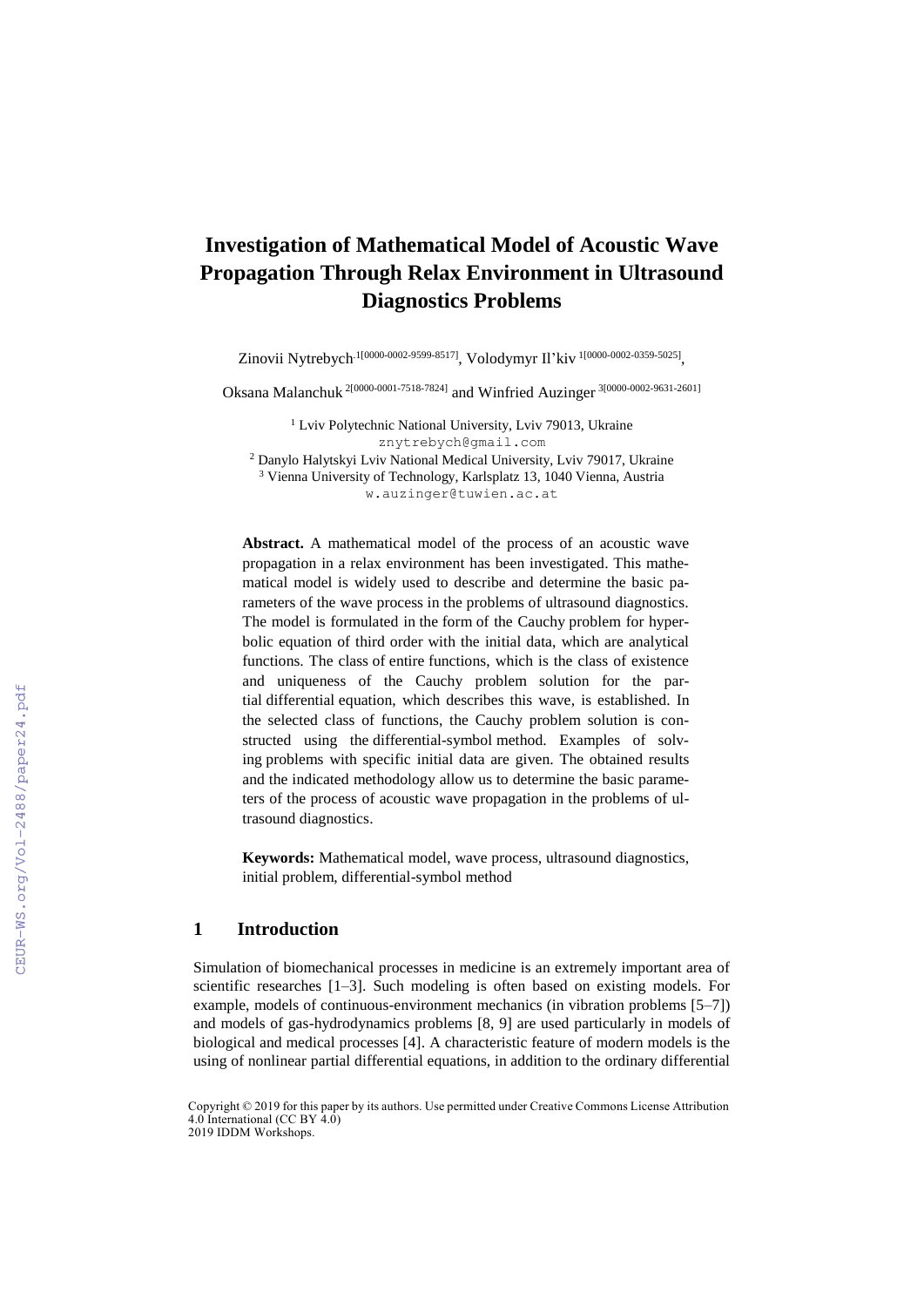# **Investigation of Mathematical Model of Acoustic Wave Propagation Through Relax Environment in Ultrasound Diagnostics Problems**

Zinovii Nytrebych<sup>.1[0000-0002-9599-8517]</sup>, Volodymyr Il'kiv<sup>1[0000-0002-0359-5025]</sup>,

Oksana Malanchuk<sup>2[0000-0001-7518-7824]</sup> and Winfried Auzinger<sup>3[0000-0002-9631-2601]</sup>

<sup>1</sup> Lviv Polytechnic National University, Lviv 79013, Ukraine [znytrebych@gmail.com](mailto:znytrebych@gmail.com) <sup>2</sup> Danylo Halytskyi Lviv National Medical University, Lviv 79017, Ukraine <sup>3</sup> Vienna University of Technology, Karlsplatz 13, 1040 Vienna, Austria w.auzinger@tuwien.ac.at

**Abstract.** A mathematical model of the process of an acoustic wave propagation in a relax environment has been investigated. This mathematical model is widely used to describe and determine the basic parameters of the wave process in the problems of ultrasound diagnostics. The model is formulated in the form of the Cauchy problem for hyperbolic equation of third order with the initial data, which are analytical functions. The class of entire functions, which is the class of existence and uniqueness of the Cauchy problem solution for the partial differential equation, which describes this wave, is established. In the selected class of functions, the Cauchy problem solution is constructed using the differential-symbol method. Examples of solving problems with specific initial data are given. The obtained results and the indicated methodology allow us to determine the basic parameters of the process of acoustic wave propagation in the problems of ultrasound diagnostics.

**Keywords:** Mathematical model, wave process, ultrasound diagnostics, initial problem, differential-symbol method

# **1 Introduction**

Simulation of biomechanical processes in medicine is an extremely important area of scientific researches [1–3]. Such modeling is often based on existing models. For example, models of continuous-environment mechanics (in vibration problems [5–7]) and models of gas-hydrodynamics problems [8, 9] are used particularly in models of biological and medical processes [4]. A characteristic feature of modern models is the using of nonlinear partial differential equations, in addition to the ordinary differential

Copyright © 2019 for this paper by its authors. Use permitted under Creative Commons License Attribution 4.0 International (CC BY 4.0) 2019 IDDM Workshops.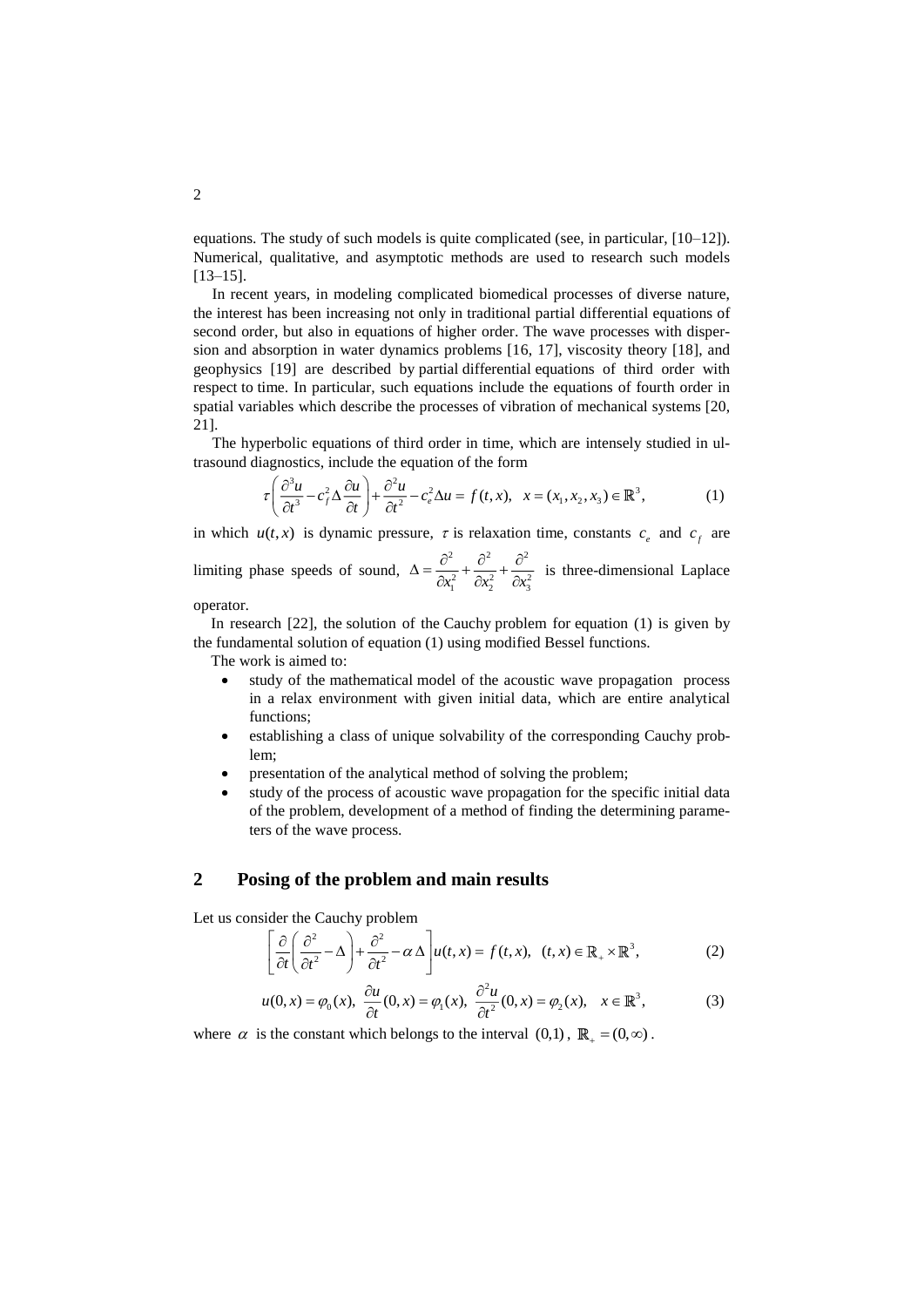equations. The study of such models is quite complicated (see, in particular, [10–12]). Numerical, qualitative, and asymptotic methods are used to research such models [13–15].

In recent years, in modeling complicated biomedical processes of diverse nature, the interest has been increasing not only in traditional partial differential equations of second order, but also in equations of higher order. The wave processes with dispersion and absorption in water dynamics problems [16, 17], viscosity theory [18], and geophysics [19] are described by partial differential equations of third order with respect to time. In particular, such equations include the equations of fourth order in spatial variables which describe the processes of vibration of mechanical systems [20, 21].

The hyperbolic equations of third order in time, which are intensely studied in ultrasound diagnostics, include the equation of the form

$$
\tau \left( \frac{\partial^3 u}{\partial t^3} - c_f^2 \Delta \frac{\partial u}{\partial t} \right) + \frac{\partial^2 u}{\partial t^2} - c_e^2 \Delta u = f(t, x), \quad x = (x_1, x_2, x_3) \in \mathbb{R}^3,
$$
 (1)

in which  $u(t, x)$  is dynamic pressure,  $\tau$  is relaxation time, constants  $c_e$  and  $c_f$  are

limiting phase speeds of sound,  $\Delta = \frac{\partial^2}{\partial^2} + \frac{\partial^2}{\partial^2} + \frac{\partial^2}{\partial^2}$  $\partial x_1^2$   $\partial x_2^2$   $\partial x_3^2$  $\Delta = \frac{\partial^2}{\partial x_1^2} + \frac{\partial^2}{\partial x_2^2} + \frac{\partial^2}{\partial x_2^2}$  is three-dimensional Laplace

operator.

In research [22], the solution of the Cauchy problem for equation (1) is given by the fundamental solution of equation (1) using modified Bessel functions.

The work is aimed to:

- study of the mathematical model of the acoustic wave propagation process in a relax environment with given initial data, which are entire analytical functions;
- establishing a class of unique solvability of the corresponding Cauchy problem;
- presentation of the analytical method of solving the problem;
- study of the process of acoustic wave propagation for the specific initial data of the problem, development of a method of finding the determining parameters of the wave process.

## **2 Posing of the problem and main results**

Let us consider the Cauchy problem

$$
\left[\frac{\partial}{\partial t} \left(\frac{\partial^2}{\partial t^2} - \Delta\right) + \frac{\partial^2}{\partial t^2} - \alpha \Delta\right] u(t, x) = f(t, x), \quad (t, x) \in \mathbb{R}_+ \times \mathbb{R}^3,
$$
\n(2)\n
$$
u(0, x) = \varnothing_{\sim}(x), \quad \frac{\partial u}{\partial t}(0, x) = \varnothing_{\sim}(x), \quad \frac{\partial^2 u}{\partial t}(0, x) = \varnothing_{\sim}(x), \quad x \in \mathbb{R}^3.
$$

$$
\left[\overline{\partial t}\left(\overline{\partial t^2}^{-1/2}\right)^{+\overline{\partial t^2}^{-1/2}}\right]^{d\lambda}u(t,x) = f(t,x), \quad (t,x) \in \mathbb{R}_+ \times \mathbb{R}^3,
$$
\n
$$
u(0,x) = \varphi_0(x), \quad \frac{\partial u}{\partial t}(0,x) = \varphi_1(x), \quad \frac{\partial^2 u}{\partial t^2}(0,x) = \varphi_2(x), \quad x \in \mathbb{R}^3,
$$
\n
$$
(3)
$$

where  $\alpha$  is the constant which belongs to the interval  $(0,1)$ ,  $\mathbb{R}_{+} = (0,\infty)$ .

2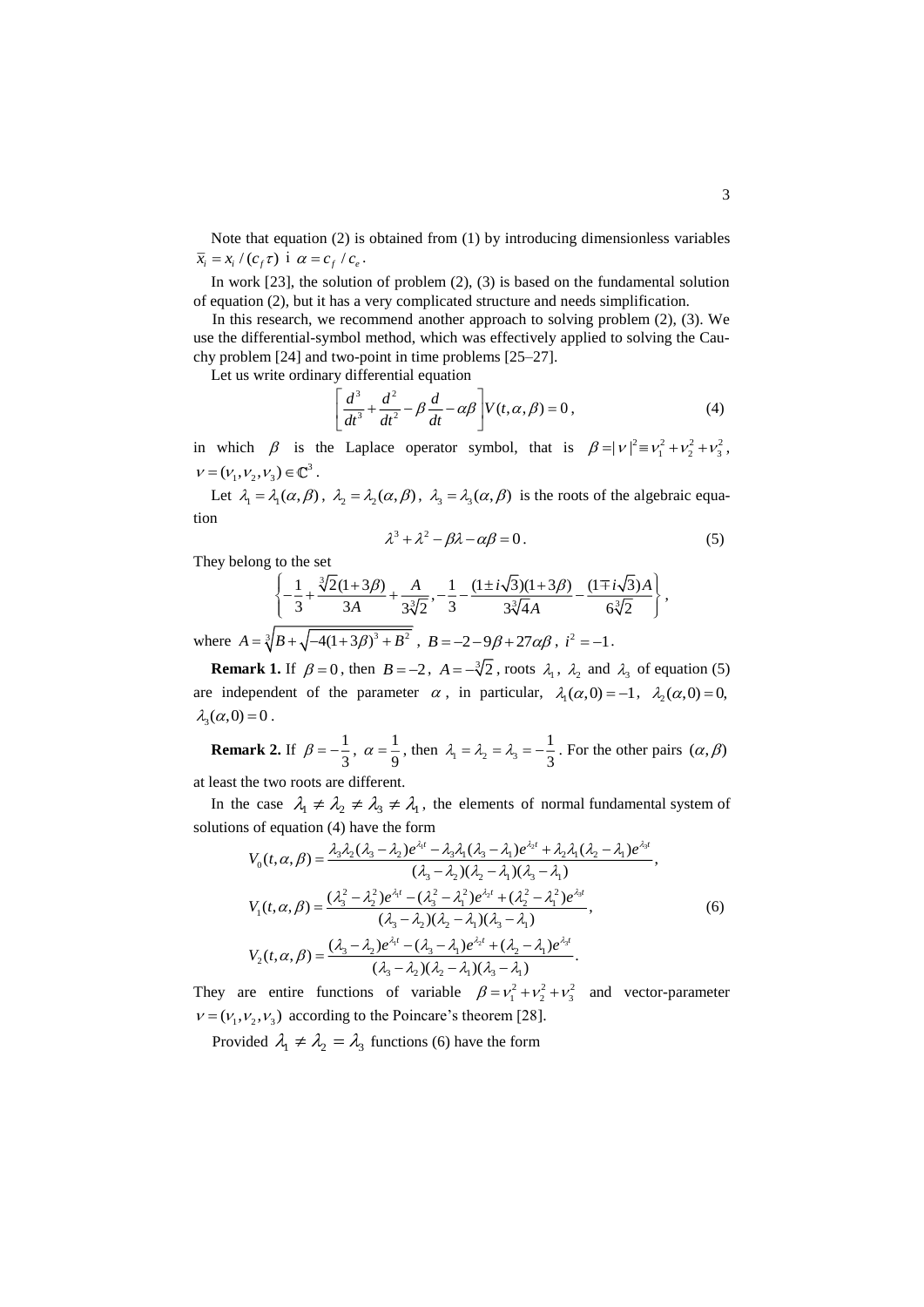Note that equation (2) is obtained from (1) by introducing dimensionless variables  $\overline{x}_i = x_i / (c_f \tau)$  i  $\alpha = c_f / c_e$ .

In work  $[23]$ , the solution of problem  $(2)$ ,  $(3)$  is based on the fundamental solution of equation (2), but it has a very complicated structure and needs simplification.

In this research, we recommend another approach to solving problem  $(2)$ ,  $(3)$ . We use the differential-symbol method, which was effectively applied to solving the Cauchy problem [24] and two-point in time problems [25–27].

Let us write ordinary differential equation

$$
\left[\frac{d^3}{dt^3} + \frac{d^2}{dt^2} - \beta \frac{d}{dt} - \alpha \beta\right] V(t, \alpha, \beta) = 0,
$$
\n(4)

in which  $\beta$  is the Laplace operator symbol, that is  $\beta = |v|^2 = v_1^2 + v_2^2 + v_3^2$ ,  $v = (v_1, v_2, v_3) \in \mathbb{C}^3$ .

Let  $\lambda_1 = \lambda_1(\alpha, \beta)$ ,  $\lambda_2 = \lambda_2(\alpha, \beta)$ ,  $\lambda_3 = \lambda_3(\alpha, \beta)$  is the roots of the algebraic equation

$$
\lambda^3 + \lambda^2 - \beta \lambda - \alpha \beta = 0. \tag{5}
$$

They belong to the set

ng to the set  
\n
$$
\left\{\frac{1}{3} + \frac{\sqrt[3]{2}(1+3\beta)}{3A} + \frac{A}{3\sqrt[3]{2}}, -\frac{1}{3} - \frac{(1\pm i\sqrt{3})(1+3\beta)}{3\sqrt[3]{4A}} - \frac{(1\mp i\sqrt{3})A}{6\sqrt[3]{2}}\right\},
$$
\n
$$
\frac{\sqrt[3]{P} + \sqrt{A(1+3\beta)^3 + P^2}}{4\sqrt[3]{2}} = P - 3 - 9\sqrt[3]{2} + 3\sqrt[3]{2} + \frac{1}{2} = 1
$$

where  $A = \sqrt[3]{B} + \sqrt{-4(1+3\beta)^3 + B^2}$ ,  $B = -2-9\beta + 27\alpha\beta$ ,  $i^2 = -1$ .

**Remark 1.** If  $\beta = 0$ , then  $B = -2$ ,  $A = -\sqrt[3]{2}$ , roots  $\lambda_1$ ,  $\lambda_2$  and  $\lambda_3$  of equation (5) are independent of the parameter  $\alpha$ , in particular,  $\lambda_1(\alpha, 0) = -1$ ,  $\lambda_2(\alpha, 0) = 0$ ,  $\lambda_3(\alpha,0) = 0$ .

**Remark 2.** If  $\beta = -\frac{1}{2}$  $\beta = -\frac{1}{3}, \ \alpha = \frac{1}{9}$  $\alpha = \frac{1}{9}$ , then  $\lambda_1 = \lambda_2 = \lambda_3$ 1  $\lambda_1 = \lambda_2 = \lambda_3 = -\frac{1}{3}$ . For the other pairs  $(\alpha, \beta)$ 

at least the two roots are different.

In the case  $\lambda_1 \neq \lambda_2 \neq \lambda_3 \neq \lambda_1$ , the elements of normal fundamental system of solutions of equation (4) have the form

$$
V_{0}(t, \alpha, \beta) = \frac{\lambda_{3}\lambda_{2}(\lambda_{3} - \lambda_{2})e^{\lambda_{1}t} - \lambda_{3}\lambda_{1}(\lambda_{3} - \lambda_{1})e^{\lambda_{2}t} + \lambda_{2}\lambda_{1}(\lambda_{2} - \lambda_{1})e^{\lambda_{3}t}}{(\lambda_{3} - \lambda_{2})(\lambda_{2} - \lambda_{1})(\lambda_{3} - \lambda_{1})},
$$
  
\n
$$
V_{1}(t, \alpha, \beta) = \frac{(\lambda_{3}^{2} - \lambda_{2}^{2})e^{\lambda_{1}t} - (\lambda_{3}^{2} - \lambda_{1}^{2})e^{\lambda_{2}t} + (\lambda_{2}^{2} - \lambda_{1}^{2})e^{\lambda_{3}t}}{(\lambda_{3} - \lambda_{2})(\lambda_{2} - \lambda_{1})(\lambda_{3} - \lambda_{1})},
$$
  
\n
$$
V_{2}(t, \alpha, \beta) = \frac{(\lambda_{3} - \lambda_{2})e^{\lambda_{1}t} - (\lambda_{3} - \lambda_{1})e^{\lambda_{2}t} + (\lambda_{2} - \lambda_{1})e^{\lambda_{3}t}}{(\lambda_{3} - \lambda_{2})(\lambda_{2} - \lambda_{1})(\lambda_{3} - \lambda_{1})}.
$$
  
\n(6)

They are entire functions of variable  $\beta = v_1^2 + v_2^2 + v_3^2$  and vector-parameter  $v = (v_1, v_2, v_3)$  according to the Poincare's theorem [28].

Provided  $\lambda_1 \neq \lambda_2 = \lambda_3$  functions (6) have the form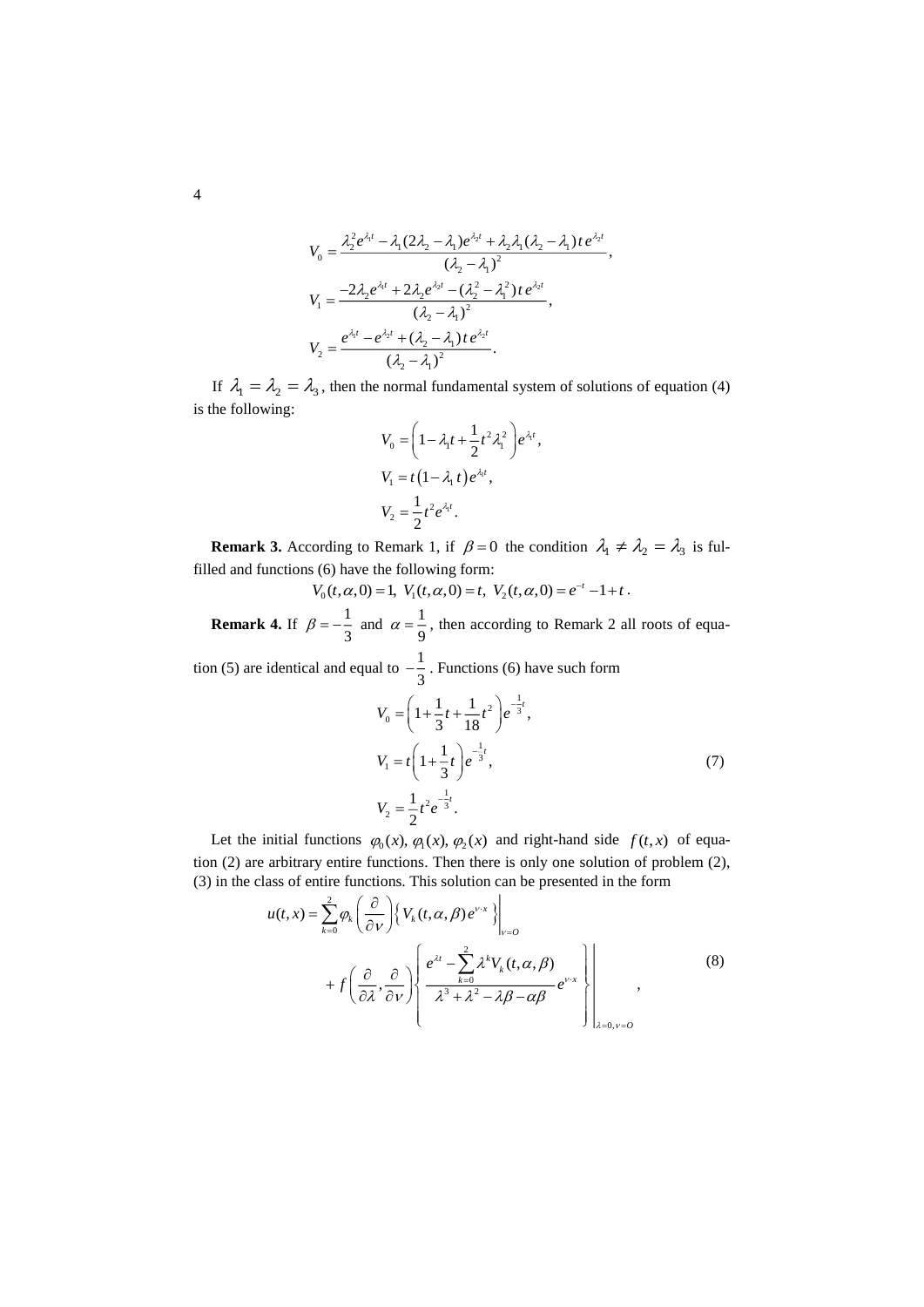$$
V_0 = \frac{\lambda_2^2 e^{\lambda_1 t} - \lambda_1 (2\lambda_2 - \lambda_1) e^{\lambda_2 t} + \lambda_2 \lambda_1 (\lambda_2 - \lambda_1) t e^{\lambda_2 t}}{(\lambda_2 - \lambda_1)^2},
$$
  
\n
$$
V_1 = \frac{-2\lambda_2 e^{\lambda_1 t} + 2\lambda_2 e^{\lambda_2 t} - (\lambda_2^2 - \lambda_1^2) t e^{\lambda_2 t}}{(\lambda_2 - \lambda_1)^2},
$$
  
\n
$$
V_2 = \frac{e^{\lambda_1 t} - e^{\lambda_2 t} + (\lambda_2 - \lambda_1) t e^{\lambda_2 t}}{(\lambda_2 - \lambda_1)^2}.
$$

If  $\lambda_1 = \lambda_2 = \lambda_3$ , then the normal fundamental system of solutions of equation (4) is the following:

$$
V_0 = \left(1 - \lambda_1 t + \frac{1}{2}t^2 \lambda_1^2\right) e^{\lambda_1 t},
$$
  
\n
$$
V_1 = t\left(1 - \lambda_1 t\right) e^{\lambda_1 t},
$$
  
\n
$$
V_2 = \frac{1}{2}t^2 e^{\lambda_1 t}.
$$

**Remark 3.** According to Remark 1, if  $\beta = 0$  the condition  $\lambda_1 \neq \lambda_2 = \lambda_3$  is fulfilled and functions (6) have the following form:

 $V_0(t, \alpha, 0) = 1$ ,  $V_1(t, \alpha, 0) = t$ ,  $V_2(t, \alpha, 0) = e^{-t} - 1 + t$ .

**Remark 4.** If  $\beta = -\frac{1}{2}$  $\beta = -\frac{1}{3}$  and  $\alpha = \frac{1}{9}$  $\alpha = \frac{1}{9}$ , then according to Remark 2 all roots of equa-

tion (5) are identical and equal to 
$$
-\frac{1}{3}
$$
. Functions (6) have such form  
\n
$$
V_0 = \left(1 + \frac{1}{3}t + \frac{1}{18}t^2\right)e^{-\frac{1}{3}t},
$$
\n
$$
V_1 = t\left(1 + \frac{1}{3}t\right)e^{-\frac{1}{3}t},
$$
\n
$$
V_2 = \frac{1}{2}t^2e^{-\frac{1}{3}t}.
$$
\n(7)

Let the initial functions  $\varphi_0(x)$ ,  $\varphi_1(x)$ ,  $\varphi_2(x)$  and right-hand side  $f(t,x)$  of equation (2) are arbitrary entire functions. Then there is only one solution of problem (2), (3) in the class of entire functions. This solution can be presented in the form

$$
u(t,x) = \sum_{k=0}^{2} \varphi_{k} \left( \frac{\partial}{\partial v} \right) \left\{ V_{k}(t,\alpha,\beta) e^{v \cdot x} \right\}_{v=0}
$$
  
+  $f \left( \frac{\partial}{\partial \lambda}, \frac{\partial}{\partial v} \right) \left\{ \frac{e^{\lambda t} - \sum_{k=0}^{2} \lambda^{k} V_{k}(t,\alpha,\beta)}{\lambda^{3} + \lambda^{2} - \lambda \beta - \alpha \beta} e^{v \cdot x} \right\}_{\lambda=0, v=0}$  (8)

4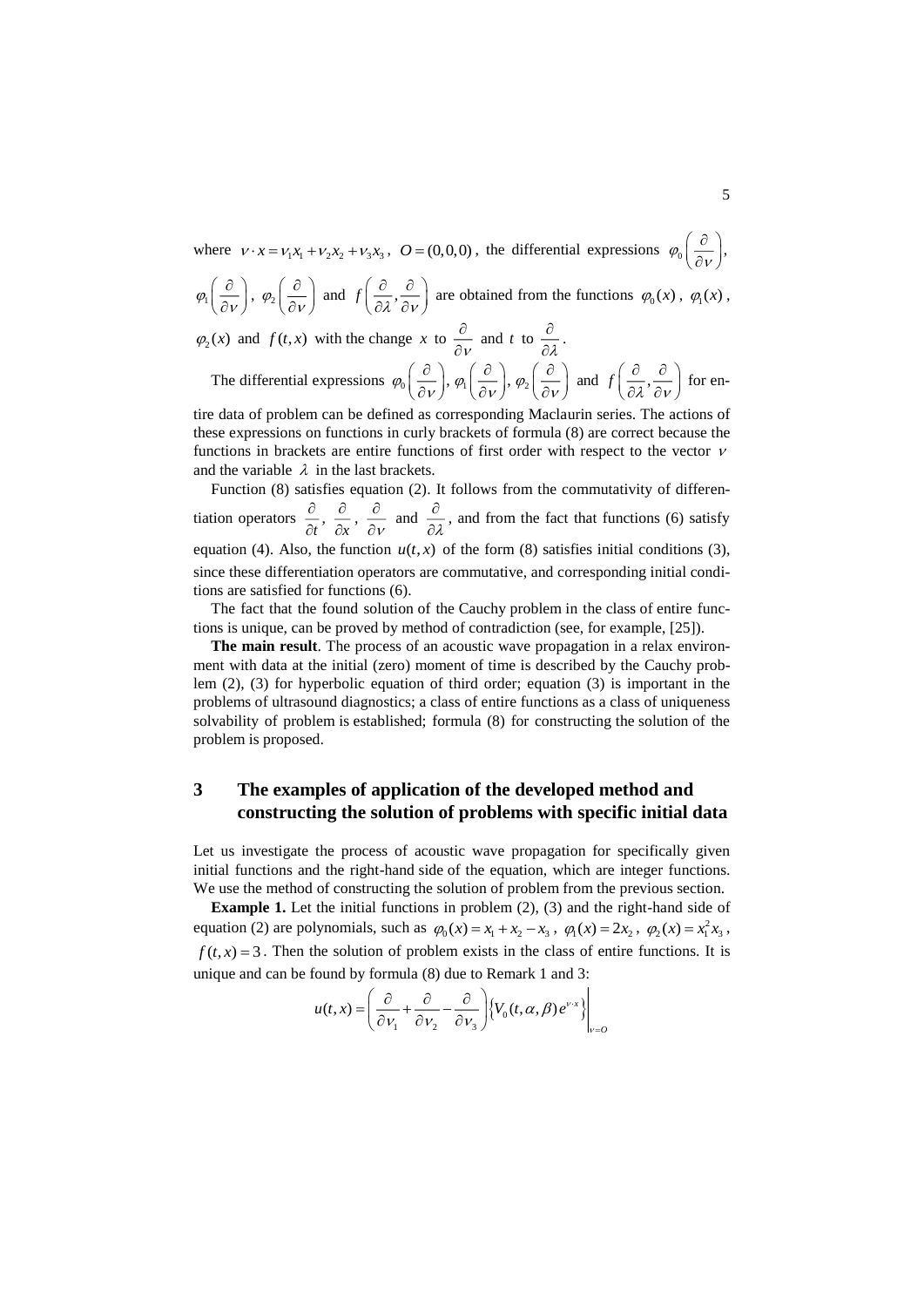where  $v \cdot x = v_1 x_1 + v_2 x_2 + v_3 x_3$ ,  $Q = (0,0,0)$ , the differential expressions  $\varphi_0 \left( \frac{\partial}{\partial v} \right)$ ,  $( \partial )$  $\left(\frac{\cdot}{\partial v}\right)$ 

$$
\varphi_1\left(\frac{\partial}{\partial\nu}\right), \varphi_2\left(\frac{\partial}{\partial\nu}\right)
$$
 and  $f\left(\frac{\partial}{\partial\lambda}, \frac{\partial}{\partial\nu}\right)$  are obtained from the functions  $\varphi_0(x), \varphi_1(x)$ ,

 $\varphi_2(x)$  and  $f(t, x)$  with the change x to  $\frac{\partial}{\partial y}$ õ  $\frac{\partial}{\partial v}$  and t to  $\frac{\partial}{\partial \lambda}$ õ  $\frac{\tilde{c}}{\partial \lambda}$  .

The differential expressions  $\varphi_0\left(\frac{\partial}{\partial v}\right), \varphi_1\left(\frac{\partial}{\partial v}\right), \varphi_2\left(\frac{\partial}{\partial v}\right)$  and  $f\left(\frac{\partial}{\partial \lambda}, \frac{\partial}{\partial v}\right)$  for en-

tire data of problem can be defined as corresponding Maclaurin series. The actions of these expressions on functions in curly brackets of formula (8) are correct because the functions in brackets are entire functions of first order with respect to the vector  $\nu$ and the variable  $\lambda$  in the last brackets.

Function (8) satisfies equation (2). It follows from the commutativity of differentiation operators  $\frac{\partial}{\partial t}$ д  $\frac{\partial}{\partial t}$ ,  $\frac{\partial}{\partial x}$ ô  $\frac{\partial}{\partial x}$ ,  $\frac{\partial}{\partial y}$ õ  $\frac{\partial}{\partial v}$  and  $\frac{\partial}{\partial \lambda}$ õ  $\frac{\sigma}{\partial \lambda}$ , and from the fact that functions (6) satisfy equation (4). Also, the function  $u(t, x)$  of the form (8) satisfies initial conditions (3), since these differentiation operators are commutative, and corresponding initial conditions are satisfied for functions (6).

The fact that the found solution of the Cauchy problem in the class of entire functions is unique, can be proved by method of contradiction (see, for example, [25]).

**The main result**. The process of an acoustic wave propagation in a relax environment with data at the initial (zero) moment of time is described by the Cauchy problem (2), (3) for hyperbolic equation of third order; equation (3) is important in the problems of ultrasound diagnostics; a class of entire functions as a class of uniqueness solvability of problem is established; formula (8) for constructing the solution of the problem is proposed.

# **3 The examples of application of the developed method and constructing the solution of problems with specific initial data**

Let us investigate the process of acoustic wave propagation for specifically given initial functions and the right-hand side of the equation, which are integer functions. We use the method of constructing the solution of problem from the previous section.

**Example 1.** Let the initial functions in problem (2), (3) and the right-hand side of equation (2) are polynomials, such as  $\varphi_0(x) = x_1 + x_2 - x_3$ ,  $\varphi_1(x) = 2x_2$ ,  $\varphi_2(x) = x_1^2 x_3$ ,  $f(t, x) = 3$ . Then the solution of problem exists in the class of entire functions. It is unique and can be found by formula (8) due to Remark 1 and 3:

$$
u(t,x) = \left(\frac{\partial}{\partial v_1} + \frac{\partial}{\partial v_2} - \frac{\partial}{\partial v_3}\right) \left\{V_0(t,\alpha,\beta)e^{v \cdot x}\right\}\bigg|_{v=0}
$$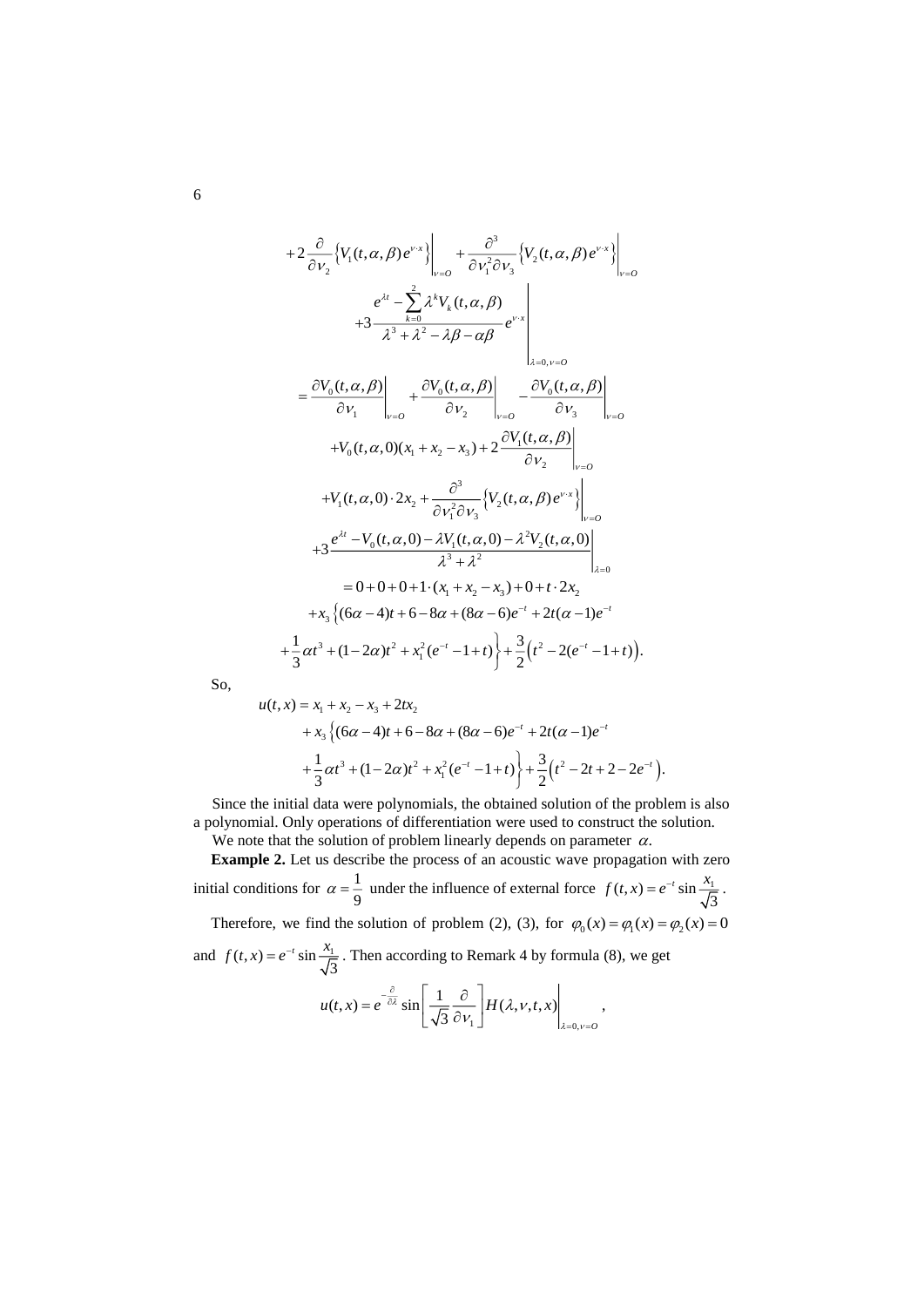$$
+2 \frac{\partial}{\partial v_{2}} \left\{ V_{1}(t, \alpha, \beta) e^{v_{x}} \right\}_{v=0} + \frac{\partial^{3}}{\partial v_{1}^{2} \partial v_{3}} \left\{ V_{2}(t, \alpha, \beta) e^{v_{x}} \right\}_{v=0} +3 \frac{e^{\lambda t} - \sum_{k=0}^{2} \lambda^{k} V_{k}(t, \alpha, \beta)}{\lambda^{3} + \lambda^{2} - \lambda \beta - \alpha \beta} e^{v_{x}} \Bigg|_{\lambda=0, v=0} = \frac{\partial V_{0}(t, \alpha, \beta)}{\partial v_{1}} \Bigg|_{v=0} + \frac{\partial V_{0}(t, \alpha, \beta)}{\partial v_{2}} \Bigg|_{v=0} - \frac{\partial V_{0}(t, \alpha, \beta)}{\partial v_{3}} \Bigg|_{v=0} +V_{0}(t, \alpha, 0)(x_{1} + x_{2} - x_{3}) + 2 \frac{\partial V_{1}(t, \alpha, \beta)}{\partial v_{2}} \Bigg|_{v=0} +V_{1}(t, \alpha, 0) \cdot 2x_{2} + \frac{\partial^{3}}{\partial v_{1}^{2} \partial v_{3}} \left\{ V_{2}(t, \alpha, \beta) e^{v_{x}} \right\}_{v=0} +3 \frac{e^{\lambda t} - V_{0}(t, \alpha, 0) - \lambda V_{1}(t, \alpha, 0) - \lambda^{2} V_{2}(t, \alpha, 0)}{\lambda^{3} + \lambda^{2}} \Bigg|_{\lambda=0} = 0 + 0 + 0 + 1 \cdot (x_{1} + x_{2} - x_{3}) + 0 + t \cdot 2x_{2} + x_{3} \left\{ (6\alpha - 4)t + 6 - 8\alpha + (8\alpha - 6)e^{-t} + 2t(\alpha - 1)e^{-t} + \frac{1}{3} \alpha t^{3} + (1 - 2\alpha)t^{2} + x_{1}^{2}(e^{-t} - 1 + t) \right\} + \frac{3}{2} (t^{2} - 2(e^{-t} - 1 + t)).
$$

So,

$$
u(t,x) = x_1 + x_2 - x_3 + 2tx_2
$$
  
+  $x_3 \left\{ (6\alpha - 4)t + 6 - 8\alpha + (8\alpha - 6)e^{-t} + 2t(\alpha - 1)e^{-t} + \frac{1}{3}\alpha t^3 + (1 - 2\alpha)t^2 + x_1^2(e^{-t} - 1 + t) \right\} + \frac{3}{2} (t^2 - 2t + 2 - 2e^{-t}).$ 

Since the initial data were polynomials, the obtained solution of the problem is also a polynomial. Only operations of differentiation were used to construct the solution.

We note that the solution of problem linearly depends on parameter  $\alpha$ .

**Example 2.** Let us describe the process of an acoustic wave propagation with zero initial conditions for  $\alpha = \frac{1}{2}$  $\alpha = \frac{1}{9}$  under the influence of external force  $f(t, x) = e^{-t} \sin \frac{x_1}{\sqrt{3}}$  $f(t, x) = e^{-t} \sin \frac{x_1}{\sqrt{t}}$ .

Therefore, we find the solution of problem (2), (3), for  $\varphi_0(x) = \varphi_1(x) = \varphi_2(x) = 0$ 

and  $f(t, x) = e^{-t} \sin \frac{x_1}{\sqrt{3}}$  $f(t, x) = e^{-t} \sin \frac{x_1}{\sqrt{t}}$ . Then according to Remark 4 by formula (8), we get  $u(t, x) = e^{-\frac{t}{\partial \lambda}} \sin \left| \frac{1}{\sqrt{\lambda}} \right| \frac{\partial}{\partial t} \left| H(\lambda, v, t, x) \right|$ 

$$
(t,x)=e^{-\frac{\partial}{\partial \lambda}}\sin\left[\frac{1}{\sqrt{3}}\frac{\partial}{\partial v_1}\right]H(\lambda,v,t,x)\Big|_{\lambda=0,v=0},
$$

6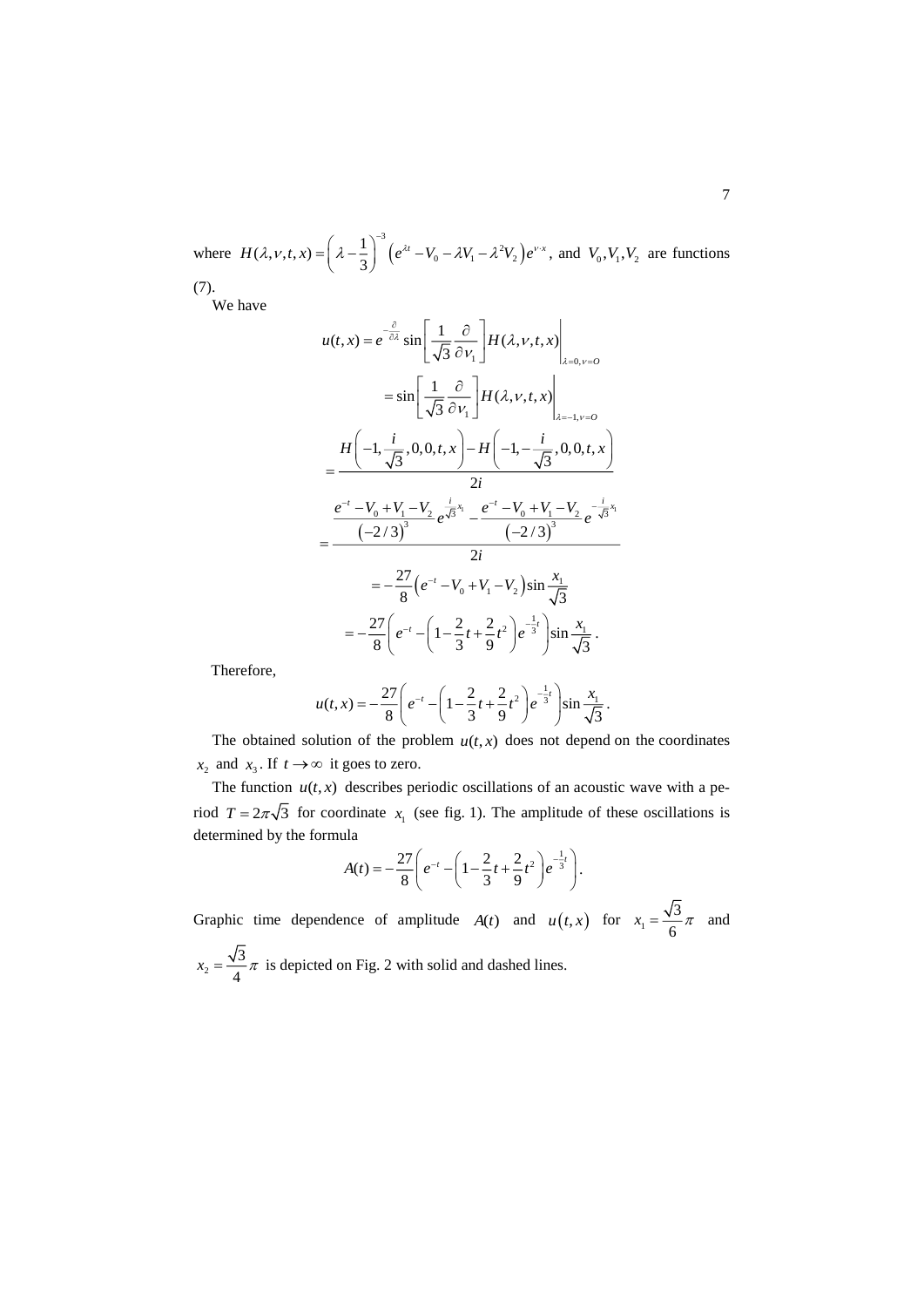where  $H(\lambda, v, t, x) = \left(\lambda - \frac{1}{2}\right)^3 \left(e^{\lambda t} - V_0 - \lambda V_1 - \lambda^2 V_2\right).$  $H(\lambda, v, t, x) = \left(\lambda - \frac{1}{3}\right)^{-3} \left(e^{\lambda t} - V_0 - \lambda V_1 - \lambda^2 V_2\right) e^{\nu \cdot x}$ , and  $V_0, V_1, V_2$  are functions (7).

We have

$$
u(t,x) = e^{-\frac{\partial}{\partial x}} \sin \left[ \frac{1}{\sqrt{3}} \frac{\partial}{\partial v_1} \right] H(\lambda, v, t, x) \Big|_{\lambda = 0, v = 0}
$$
  
\n
$$
= \sin \left[ \frac{1}{\sqrt{3}} \frac{\partial}{\partial v_1} \right] H(\lambda, v, t, x) \Big|_{\lambda = -1, v = 0}
$$
  
\n
$$
= \frac{H(-1, \frac{i}{\sqrt{3}}, 0, 0, t, x) - H(-1, -\frac{i}{\sqrt{3}}, 0, 0, t, x)}{2i}
$$
  
\n
$$
= \frac{e^{-t} - V_0 + V_1 - V_2}{(-2/3)^3} e^{\frac{i}{\sqrt{3}}x_1} - \frac{e^{-t} - V_0 + V_1 - V_2}{(-2/3)^3} e^{-\frac{i}{\sqrt{3}}x_1}
$$
  
\n
$$
= -\frac{27}{8} (e^{-t} - V_0 + V_1 - V_2) \sin \frac{x_1}{\sqrt{3}}
$$
  
\n
$$
= -\frac{27}{8} (e^{-t} - (1 - \frac{2}{3}t + \frac{2}{9}t^2) e^{-\frac{1}{3}t}) \sin \frac{x_1}{\sqrt{3}}.
$$

Therefore,

$$
u(t,x) = -\frac{27}{8} \left( e^{-t} - \left( 1 - \frac{2}{3}t + \frac{2}{9}t^2 \right) e^{-\frac{1}{3}t} \right) \sin \frac{x_1}{\sqrt{3}}.
$$

The obtained solution of the problem  $u(t, x)$  does not depend on the coordinates  $x_2$  and  $x_3$ . If  $t \to \infty$  it goes to zero.

The function  $u(t, x)$  describes periodic oscillations of an acoustic wave with a period  $T = 2\pi\sqrt{3}$  for coordinate  $x_1$  (see fig. 1). The amplitude of these oscillations is determined by the formula

$$
A(t) = -\frac{27}{8} \left( e^{-t} - \left( 1 - \frac{2}{3}t + \frac{2}{9}t^2 \right) e^{-\frac{1}{3}t} \right).
$$

Graphic time dependence of amplitude  $A(t)$  and  $u(t,x)$  for  $x_1$ 3  $x_1 = \frac{\sqrt{3}}{6}\pi$  and

2 3  $x_2 = \frac{\sqrt{3}}{4}\pi$  is depicted on Fig. 2 with solid and dashed lines.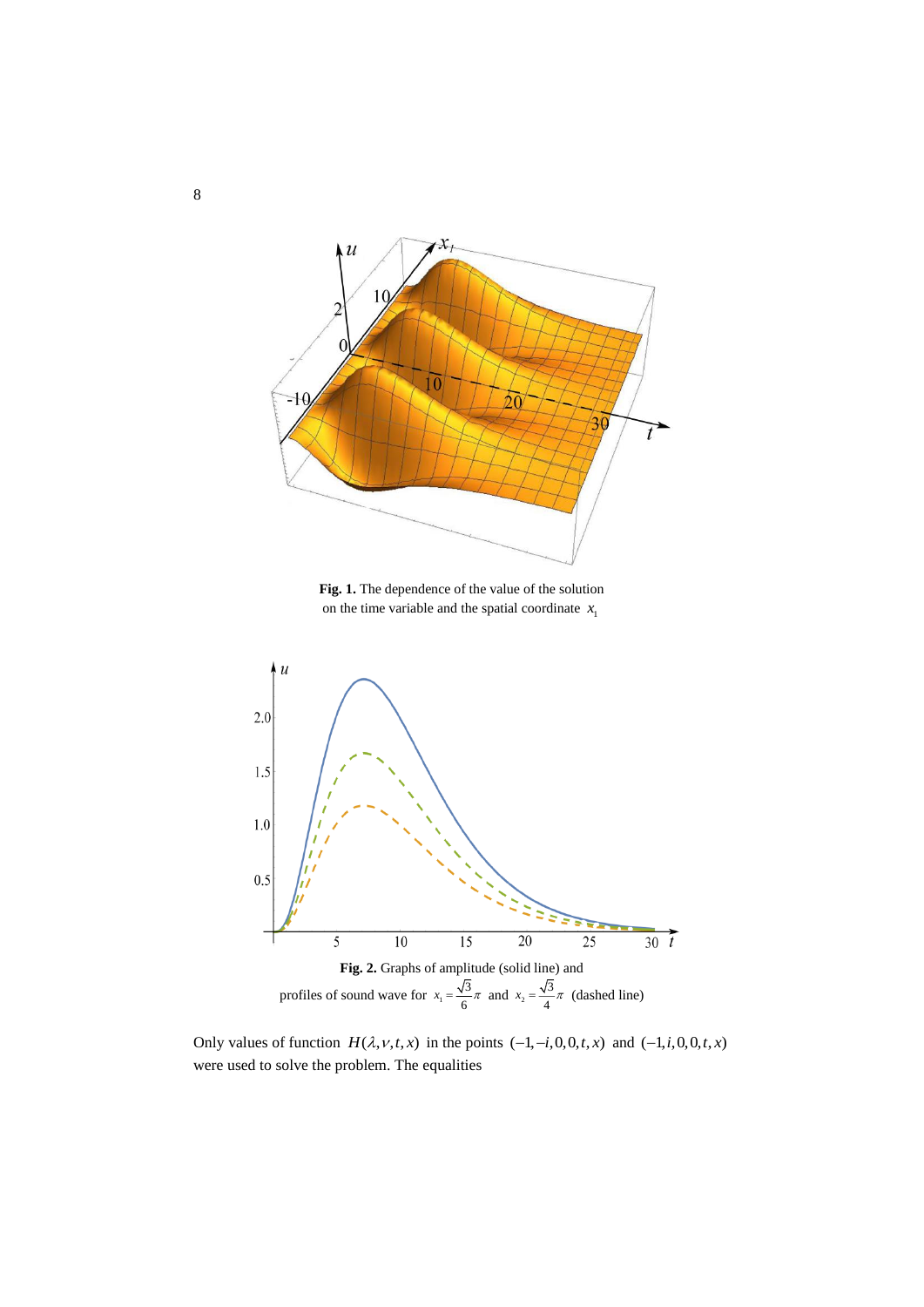

**Fig. 1.** The dependence of the value of the solution on the time variable and the spatial coordinate  $x_1$ 



Only values of function  $H(\lambda, v, t, x)$  in the points  $(-1, -i, 0, 0, t, x)$  and  $(-1, i, 0, 0, t, x)$ were used to solve the problem. The equalities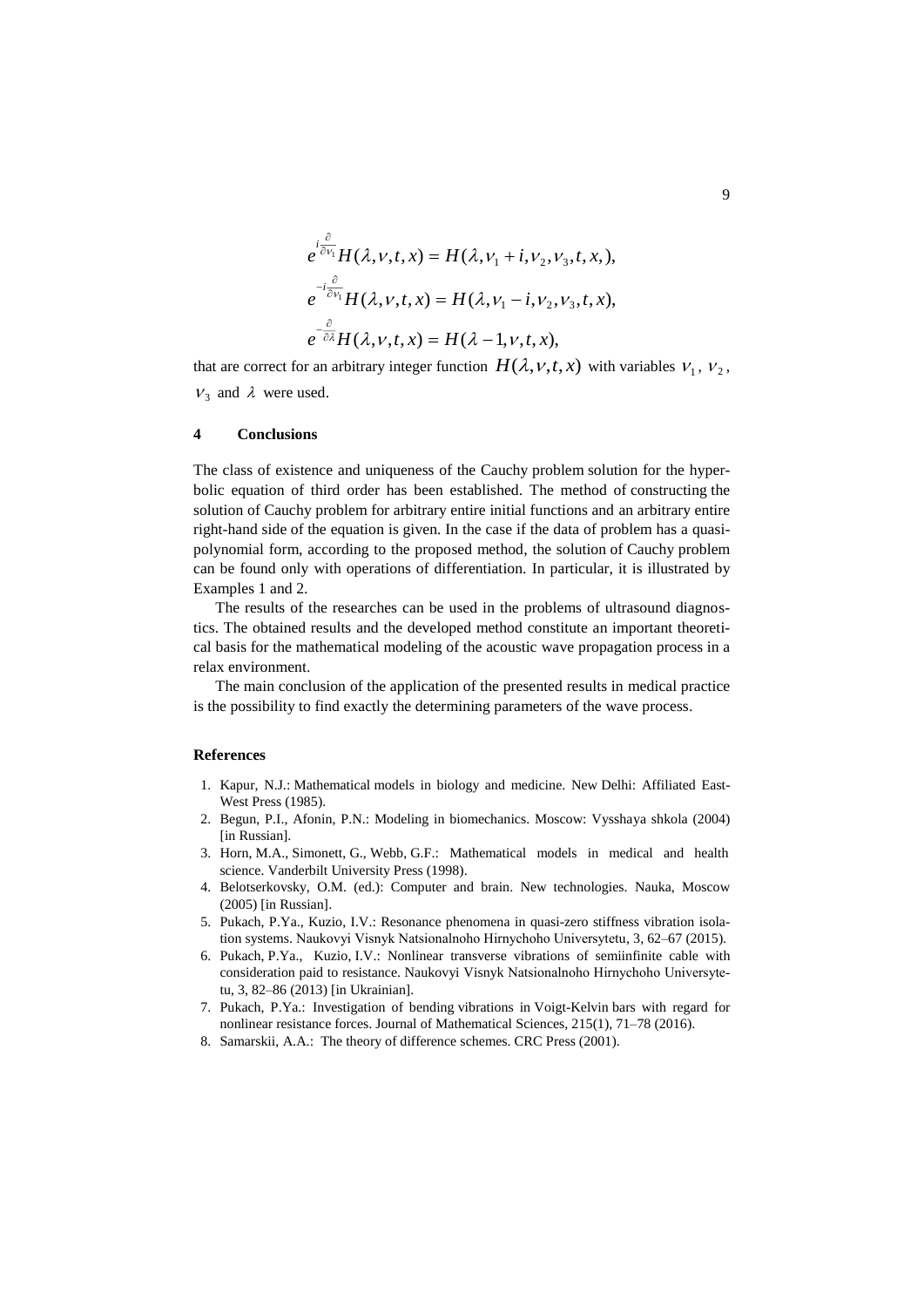$$
e^{i\frac{\partial}{\partial v_1}}H(\lambda, v, t, x) = H(\lambda, v_1 + i, v_2, v_3, t, x),
$$
  
\n
$$
e^{-i\frac{\partial}{\partial v_1}}H(\lambda, v, t, x) = H(\lambda, v_1 - i, v_2, v_3, t, x),
$$
  
\n
$$
e^{-\frac{\partial}{\partial \lambda}}H(\lambda, v, t, x) = H(\lambda - 1, v, t, x),
$$

that are correct for an arbitrary integer function  $H(\lambda, v, t, x)$  with variables  $v_1, v_2$ ,  $V_3$  and  $\lambda$  were used.

#### **4 Conclusions**

The class of existence and uniqueness of the Cauchy problem solution for the hyperbolic equation of third order has been established. The method of constructing the solution of Cauchy problem for arbitrary entire initial functions and an arbitrary entire right-hand side of the equation is given. In the case if the data of problem has a quasipolynomial form, according to the proposed method, the solution of Cauchy problem can be found only with operations of differentiation. In particular, it is illustrated by Examples 1 and 2.

The results of the researches can be used in the problems of ultrasound diagnostics. The obtained results and the developed method constitute an important theoretical basis for the mathematical modeling of the acoustic wave propagation process in a relax environment.

The main conclusion of the application of the presented results in medical practice is the possibility to find exactly the determining parameters of the wave process.

### **References**

- 1. Kapur, N.J.: Mathematical models in biology and medicine. New Delhi: Affiliated East-West Press (1985).
- 2. Begun, P.I., Afonin, P.N.: Modeling in biomechanics. Moscow: Vysshaya shkola (2004) [in Russian].
- 3. [Horn,](https://www.amazon.co.uk/s/ref=dp_byline_sr_book_1?ie=UTF8&field-author=Mary+Ann+Horn&text=Mary+Ann+Horn&sort=relevancerank&search-alias=books-uk) M.A., [Simonett,](https://www.amazon.co.uk/s/ref=dp_byline_sr_book_2?ie=UTF8&field-author=Gieri+Simonett&text=Gieri+Simonett&sort=relevancerank&search-alias=books-uk) G., [Webb,](https://www.amazon.co.uk/s/ref=dp_byline_sr_book_3?ie=UTF8&field-author=Glenn+F.+Webb&text=Glenn+F.+Webb&sort=relevancerank&search-alias=books-uk) G.F.: Mathematical models in medical and health science. Vanderbilt University Press (1998).
- 4. Belotserkovsky, O.M. (ed.): Computer and brain. New technologies. Nauka, Moscow (2005) [in Russian].
- 5. Pukach, P.Ya., Kuzio, I.V.: Resonance phenomena in quasi-zero stiffness vibration isolation systems. Naukovyi Visnyk Natsіonalnoho Hіrnychoho Unіversytetu, 3, 62–67 (2015).
- 6. Pukach, P.Ya., Kuzio, I.V.: Nonlinear transverse vibrations of semiinfinite cable with consideration paid to resistance. Naukovyi Visnyk Natsіonalnoho Hіrnychoho Unіversytetu, 3, 82–86 (2013) [in Ukrainian].
- 7. Pukach, P.Ya.: Investigation of bending vibrations in Voigt-Kelvin bars with regard for nonlinear resistance forces. Journal of Mathematical Sciences, 215(1), 71–78 (2016).
- 8. [Samarskii,](https://www.google.com.ua/search?hl=uk&tbo=p&tbm=bks&q=inauthor:%22Alexander+A.+Samarskii%22&source=gbs_metadata_r&cad=9) A.A.: The theory of difference schemes. CRC Press (2001).